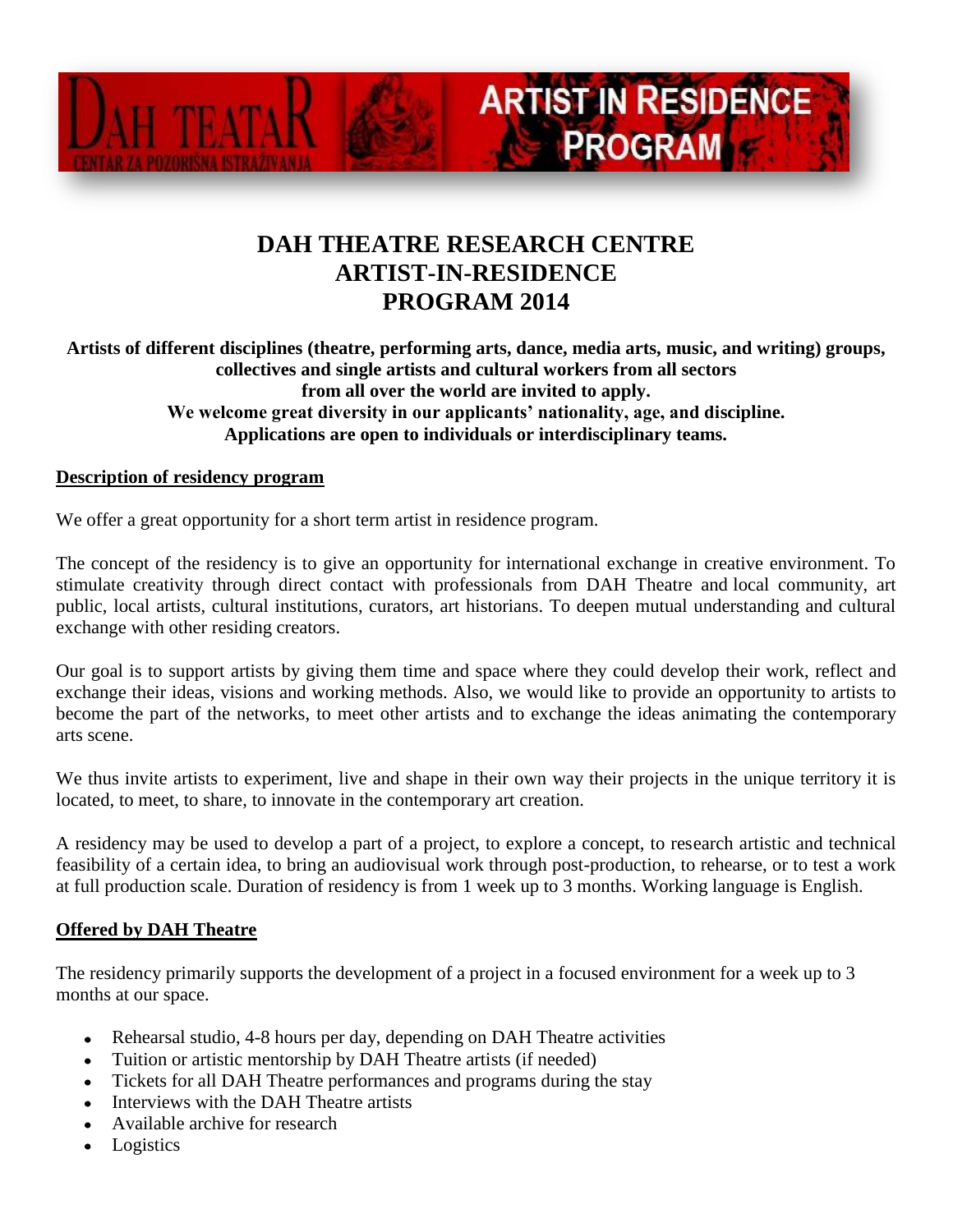

## **DAH THEATRE RESEARCH CENTRE ARTIST-IN-RESIDENCE PROGRAM 2014**

**ARTIST IN RESIDENCE** 

**PROGRAM** 

**Artists of different disciplines (theatre, performing arts, dance, media arts, music, and writing) groups, collectives and single artists and cultural workers from all sectors from all over the world are invited to apply. We welcome great diversity in our applicants' nationality, age, and discipline. Applications are open to individuals or interdisciplinary teams.**

## **Description of residency program**

We offer a great opportunity for a short term artist in residence program.

The concept of the residency is to give an opportunity for international exchange in creative environment. To stimulate creativity through direct contact with professionals from DAH Theatre and local community, art public, local artists, cultural institutions, curators, art historians. To deepen mutual understanding and cultural exchange with other residing creators.

Our goal is to support artists by giving them time and space where they could develop their work, reflect and exchange their ideas, visions and working methods. Also, we would like to provide an opportunity to artists to become the part of the networks, to meet other artists and to exchange the ideas animating the contemporary arts scene.

We thus invite artists to experiment, live and shape in their own way their projects in the unique territory it is located, to meet, to share, to innovate in the contemporary art creation.

A residency may be used to develop a part of a project, to explore a concept, to research artistic and technical feasibility of a certain idea, to bring an audiovisual work through post-production, to rehearse, or to test a work at full production scale. Duration of residency is from 1 week up to 3 months. Working language is English.

## **Offered by DAH Theatre**

The residency primarily supports the development of a project in a focused environment for a week up to 3 months at our space.

- Rehearsal studio, 4-8 hours per day, depending on DAH Theatre activities  $\bullet$
- Tuition or artistic mentorship by DAH Theatre artists (if needed)
- Tickets for all DAH Theatre performances and programs during the stay
- Interviews with the DAH Theatre artists
- Available archive for research
- Logistics